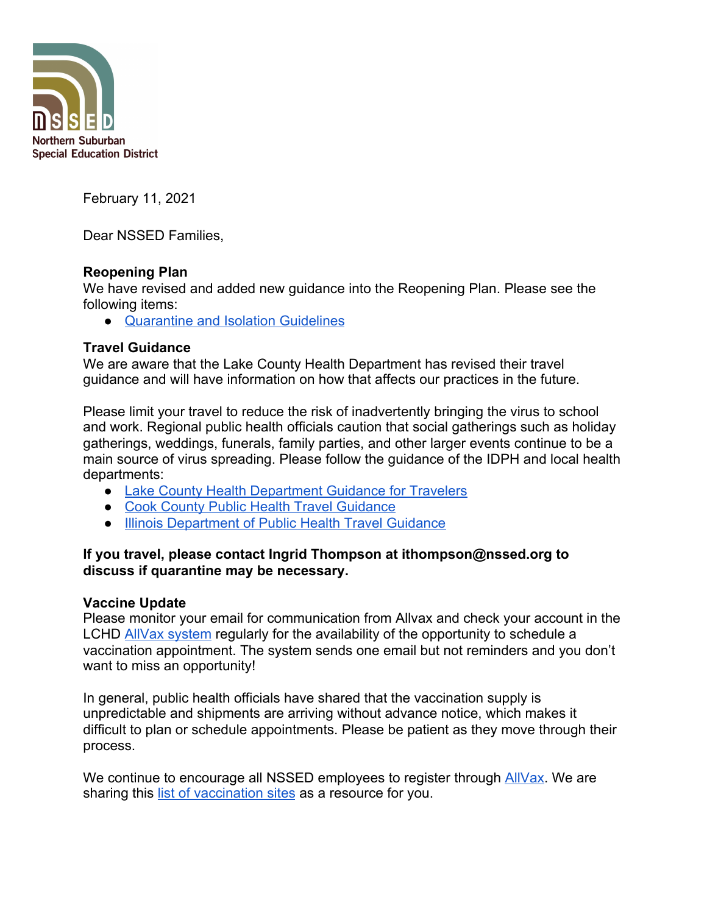

February 11, 2021

Dear NSSED Families,

## **Reopening Plan**

We have revised and added new guidance into the Reopening Plan. Please see the following items:

● [Quarantine and Isolation Guidelines](https://docs.google.com/document/d/1fSOHV3Ld9J0ByBo7kV4N7W9WHFpFBQBibNOo2wILNcw/edit#heading=h.avqrpbkr38dt)

## **Travel Guidance**

We are aware that the Lake County Health Department has revised their travel guidance and will have information on how that affects our practices in the future.

Please limit your travel to reduce the risk of inadvertently bringing the virus to school and work. Regional public health officials caution that social gatherings such as holiday gatherings, weddings, funerals, family parties, and other larger events continue to be a main source of virus spreading. Please follow the guidance of the IDPH and local health departments:

- [Lake County Health Department Guidance for Travelers](https://www.lakecountyil.gov/4412/Community-Guidance-and-Resources#travelers)
- [Cook County Public Health Travel Guidance](https://cookcountypublichealth.org/communicable-diseases/covid-19/covid-19-travel-guidance/)
- [Illinois Department of Public Health Travel Guidance](https://www.dph.illinois.gov/topics-services/diseases-and-conditions/diseases-a-z-list/coronavirus/travel-guidance)

## **If you travel, please contact Ingrid Thompson at ithompson@nssed.org to discuss if quarantine may be necessary.**

# **Vaccine Update**

Please monitor your email for communication from Allvax and check your account in the LCHD [AllVax system](https://allvax.lakecohealth.org/s/login/?language=en_US) regularly for the availability of the opportunity to schedule a vaccination appointment. The system sends one email but not reminders and you don't want to miss an opportunity!

In general, public health officials have shared that the vaccination supply is unpredictable and shipments are arriving without advance notice, which makes it difficult to plan or schedule appointments. Please be patient as they move through their process.

We continue to encourage all NSSED employees to register through **AllVax**. We are sharing this [list of vaccination sites](https://docs.google.com/document/u/1/d/e/2PACX-1vTKBvpFE1ac_MdJkQc7y19_74HoXKIMBp3gvclrk8eCRHnkqEXozDh26L22wHF-R4wg8se3Adh64_TD/pub) as a resource for you.